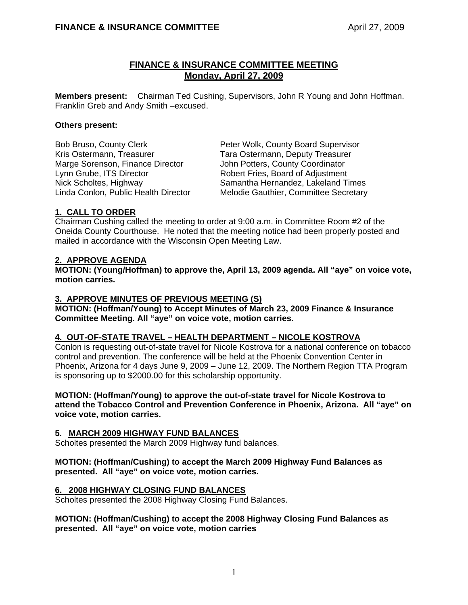# **FINANCE & INSURANCE COMMITTEE MEETING Monday, April 27, 2009**

**Members present:** Chairman Ted Cushing, Supervisors, John R Young and John Hoffman. Franklin Greb and Andy Smith –excused.

## **Others present:**

Kris Ostermann, Treasurer Tara Ostermann, Deputy Treasurer Marge Sorenson, Finance Director John Potters, County Coordinator Lynn Grube, ITS Director **Robert Fries, Board of Adjustment** 

Bob Bruso, County Clerk Peter Wolk, County Board Supervisor Nick Scholtes, Highway Samantha Hernandez, Lakeland Times Linda Conlon, Public Health Director Melodie Gauthier, Committee Secretary

# **1. CALL TO ORDER**

Chairman Cushing called the meeting to order at 9:00 a.m. in Committee Room #2 of the Oneida County Courthouse. He noted that the meeting notice had been properly posted and mailed in accordance with the Wisconsin Open Meeting Law.

## **2. APPROVE AGENDA**

**MOTION: (Young/Hoffman) to approve the, April 13, 2009 agenda. All "aye" on voice vote, motion carries.** 

# **3. APPROVE MINUTES OF PREVIOUS MEETING (S)**

**MOTION: (Hoffman/Young) to Accept Minutes of March 23, 2009 Finance & Insurance Committee Meeting. All "aye" on voice vote, motion carries.** 

## **4. OUT-OF-STATE TRAVEL – HEALTH DEPARTMENT – NICOLE KOSTROVA**

Conlon is requesting out-of-state travel for Nicole Kostrova for a national conference on tobacco control and prevention. The conference will be held at the Phoenix Convention Center in Phoenix, Arizona for 4 days June 9, 2009 – June 12, 2009. The Northern Region TTA Program is sponsoring up to \$2000.00 for this scholarship opportunity.

**MOTION: (Hoffman/Young) to approve the out-of-state travel for Nicole Kostrova to attend the Tobacco Control and Prevention Conference in Phoenix, Arizona. All "aye" on voice vote, motion carries.**

## **5. MARCH 2009 HIGHWAY FUND BALANCES**

Scholtes presented the March 2009 Highway fund balances.

## **MOTION: (Hoffman/Cushing) to accept the March 2009 Highway Fund Balances as presented. All "aye" on voice vote, motion carries.**

## **6. 2008 HIGHWAY CLOSING FUND BALANCES**

Scholtes presented the 2008 Highway Closing Fund Balances.

## **MOTION: (Hoffman/Cushing) to accept the 2008 Highway Closing Fund Balances as presented. All "aye" on voice vote, motion carries**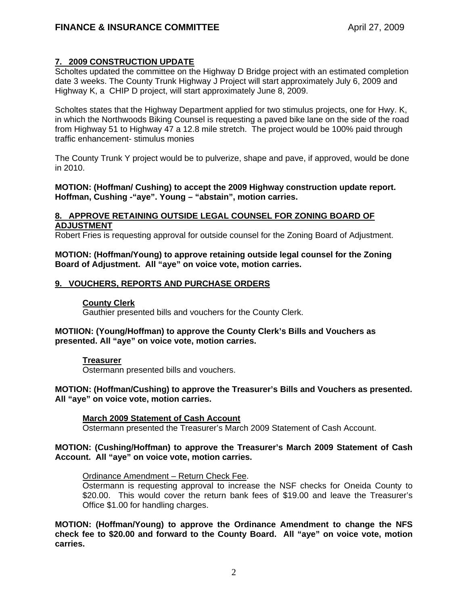# **7. 2009 CONSTRUCTION UPDATE**

Scholtes updated the committee on the Highway D Bridge project with an estimated completion date 3 weeks. The County Trunk Highway J Project will start approximately July 6, 2009 and Highway K, a CHIP D project, will start approximately June 8, 2009.

 Scholtes states that the Highway Department applied for two stimulus projects, one for Hwy. K, in which the Northwoods Biking Counsel is requesting a paved bike lane on the side of the road from Highway 51 to Highway 47 a 12.8 mile stretch. The project would be 100% paid through traffic enhancement- stimulus monies

 The County Trunk Y project would be to pulverize, shape and pave, if approved, would be done in 2010.

## **MOTION: (Hoffman/ Cushing) to accept the 2009 Highway construction update report. Hoffman, Cushing -"aye". Young – "abstain", motion carries.**

## **8. APPROVE RETAINING OUTSIDE LEGAL COUNSEL FOR ZONING BOARD OF ADJUSTMENT**

Robert Fries is requesting approval for outside counsel for the Zoning Board of Adjustment.

## **MOTION: (Hoffman/Young) to approve retaining outside legal counsel for the Zoning Board of Adjustment. All "aye" on voice vote, motion carries.**

# **9. VOUCHERS, REPORTS AND PURCHASE ORDERS**

## **County Clerk**

Gauthier presented bills and vouchers for the County Clerk.

## **MOTIION: (Young/Hoffman) to approve the County Clerk's Bills and Vouchers as presented. All "aye" on voice vote, motion carries.**

#### **Treasurer**

Ostermann presented bills and vouchers.

## **MOTION: (Hoffman/Cushing) to approve the Treasurer's Bills and Vouchers as presented. All "aye" on voice vote, motion carries.**

## **March 2009 Statement of Cash Account**

Ostermann presented the Treasurer's March 2009 Statement of Cash Account.

## **MOTION: (Cushing/Hoffman) to approve the Treasurer's March 2009 Statement of Cash Account. All "aye" on voice vote, motion carries.**

#### Ordinance Amendment – Return Check Fee.

Ostermann is requesting approval to increase the NSF checks for Oneida County to \$20.00. This would cover the return bank fees of \$19.00 and leave the Treasurer's Office \$1.00 for handling charges.

**MOTION: (Hoffman/Young) to approve the Ordinance Amendment to change the NFS check fee to \$20.00 and forward to the County Board. All "aye" on voice vote, motion carries.**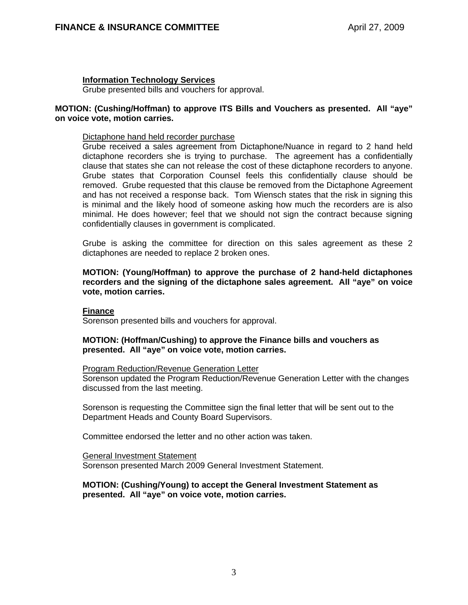### **Information Technology Services**

Grube presented bills and vouchers for approval.

### **MOTION: (Cushing/Hoffman) to approve ITS Bills and Vouchers as presented. All "aye" on voice vote, motion carries.**

#### Dictaphone hand held recorder purchase

Grube received a sales agreement from Dictaphone/Nuance in regard to 2 hand held dictaphone recorders she is trying to purchase. The agreement has a confidentially clause that states she can not release the cost of these dictaphone recorders to anyone. Grube states that Corporation Counsel feels this confidentially clause should be removed. Grube requested that this clause be removed from the Dictaphone Agreement and has not received a response back. Tom Wiensch states that the risk in signing this is minimal and the likely hood of someone asking how much the recorders are is also minimal. He does however; feel that we should not sign the contract because signing confidentially clauses in government is complicated.

Grube is asking the committee for direction on this sales agreement as these 2 dictaphones are needed to replace 2 broken ones.

**MOTION: (Young/Hoffman) to approve the purchase of 2 hand-held dictaphones recorders and the signing of the dictaphone sales agreement. All "aye" on voice vote, motion carries.** 

#### **Finance**

Sorenson presented bills and vouchers for approval.

**MOTION: (Hoffman/Cushing) to approve the Finance bills and vouchers as presented. All "aye" on voice vote, motion carries.**

#### Program Reduction/Revenue Generation Letter

Sorenson updated the Program Reduction/Revenue Generation Letter with the changes discussed from the last meeting.

Sorenson is requesting the Committee sign the final letter that will be sent out to the Department Heads and County Board Supervisors.

Committee endorsed the letter and no other action was taken.

#### General Investment Statement

Sorenson presented March 2009 General Investment Statement.

#### **MOTION: (Cushing/Young) to accept the General Investment Statement as presented. All "aye" on voice vote, motion carries.**